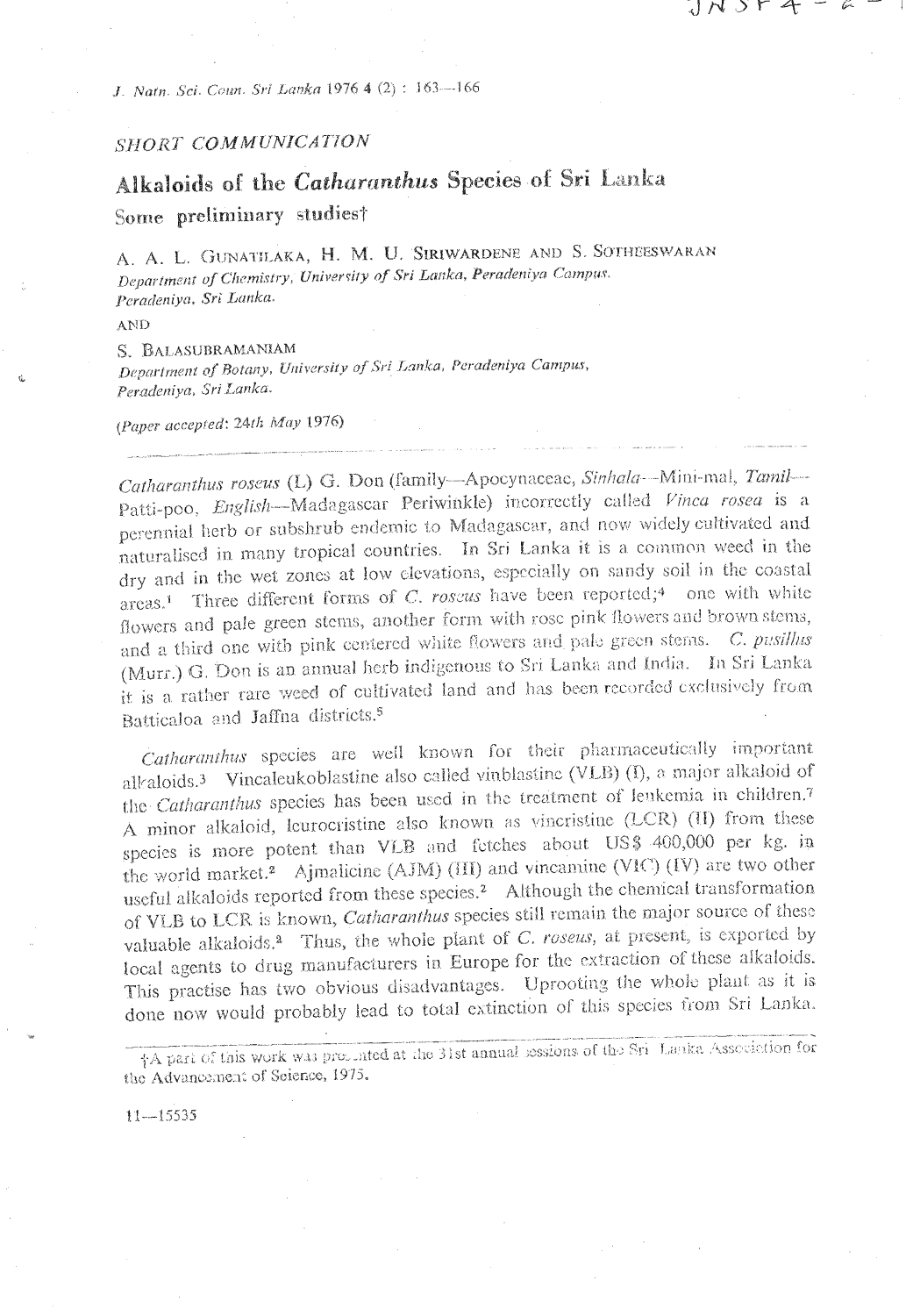J. Natn. Sci. Coun. Sri Lanka 1976 4 (2): 163-166

## SHORT COMMUNICATION

# Alkaloids of the Catharanthus Species of Sri Lanka Some preliminary studiest

A. A. L. GUNATILAKA, H. M. U. SIRIWARDENE AND S. SOTHEESWARAN Department of Chemistry, University of Sri Lanka, Peradeniya Campus. Peradeniya, Sri Lanka.

コパコトチーム

AND

S. BALASUBRAMANIAM Department of Botany, University of Sri Lanka, Peradeniya Campus, Peradeniya, Sri Lanka.

(Paper accepted: 24th May 1976)

Catharanthus roseus (L) G. Don (family-Apocynaceae, Sinhala-Mini-mal, Tamil-Patti-poo, English-Madagascar Periwinkle) incorrectly called Vinca rosea is a perennial herb or subshrub endemic to Madagascar, and now widely cultivated and naturalised in many tropical countries. In Sri Lanka it is a common weed in the dry and in the wet zones at low elevations, especially on sandy soil in the coastal areas.<sup>1</sup> Three different forms of C. roscus have been reported;<sup>4</sup> one with white flowers and pale green stems, another form with rose pink flowers and brown stems, and a third one with pink centered white flowers and pale green stems. C. pusillus (Murr.) G. Don is an annual herb indigenous to Sri Lanka and India. In Sri Lanka it is a rather rare weed of cultivated land and has been recorded exclusively from Batticaloa and Jaffna districts<sup>5</sup>

Catharanthus species are well known for their pharmaceutically important alkaloids.<sup>3</sup> Vincaleukoblastine also called vinblastine (VLB) (I), a major alkaloid of the Catharanthus species has been used in the treatment of leukemia in children.7 A minor alkaloid, leurocristine also known as vincristine (LCR) (II) from these species is more potent than VLB and fetches about US\$ 400,000 per kg. in the world market.<sup>2</sup> Ajmalicine (AJM) (III) and vincamine (VIC) (IV) are two other useful alkaloids reported from these species.<sup>2</sup> Although the chemical transformation of VLB to LCR is known, Catharanthus species still remain the major source of these valuable alkaloids.<sup>2</sup> Thus, the whole plant of C. roseus, at present, is exported by local agents to drug manufacturers in Europe for the extraction of these alkaloids. This practise has two obvious disadvantages. Uprooting the whole plant as it is done now would probably lead to total extinction of this species from Sri Lanka.

†A part of this work was properted at the 31st annual sessions of the Sri Lanka Association for the Advancement of Seience, 1975.

 $11 - 15535$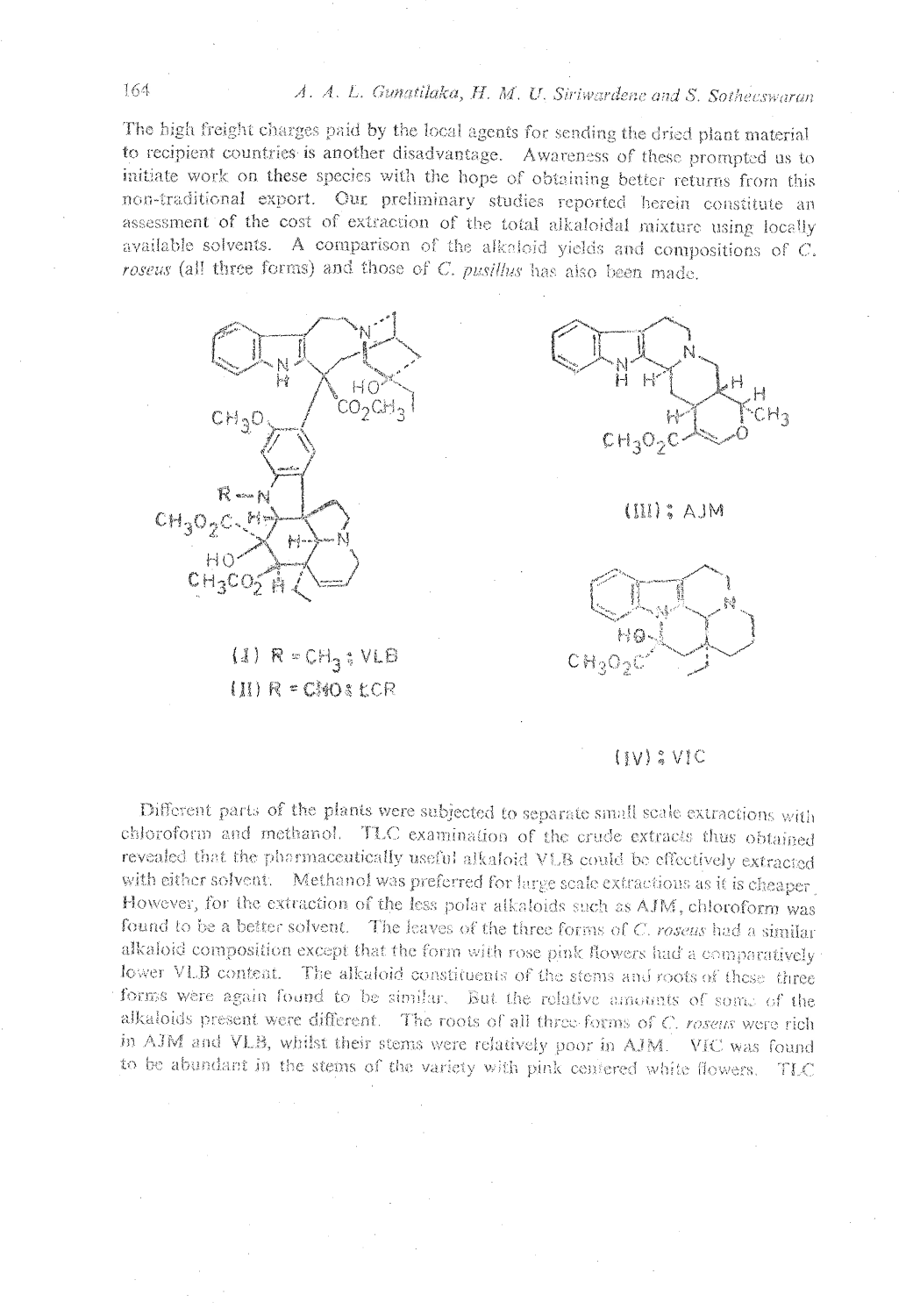## A. A. L. Gunatilaka, H. M. U. Siriwardene and S. Sotheeswaran

The high freight charges paid by the local agents for sending the dried plant material to recipient countries is another disadvantage. Awareness of these prompted us to initiate work on these species with the hope of obtaining better returns from this non-traditional export. Our preliminary studies reported herein constitute an assessment of the cost of extraction of the total alkaloidal mixture using locally available solvents. A comparison of the alkaloid yields and compositions of C. roseus (all three forms) and those of C. pusillus has also been made.



 $(1)$   $R = CH_3$ ;  $VLB$ (II) R = CMOS LCR



MLA : (III)



## $(IV)$  ;  $V$  C

Different parts of the plants were subjected to separate small scale extractions with chloroform and methanol. TLC examination of the crude extracts thus obtained revealed that the pharmaceutically useful alkaloid VLB could be effectively extracted with either solvent. Methanol was preferred for large scale extractions as it is cheaper However, for the extraction of the less polar alkatoids such as AJM, chloroform was found to be a better solvent. The leaves of the three forms of C. rosens had a similar alkaloid composition except that the form with rose pink flowers had a comparatively lower VLB content. The alkaloid constituents of the stems and roots of these three forms were again found to be similar. But the relative amounts of some of the alkaloids present were different. The roots of all three forms of C. rosens were rich in AJM and VLB, whilst their stems were relatively poor in AJM. VIC was found to be abundant in the stems of the variety with pink centered white flowers. TLC

### 164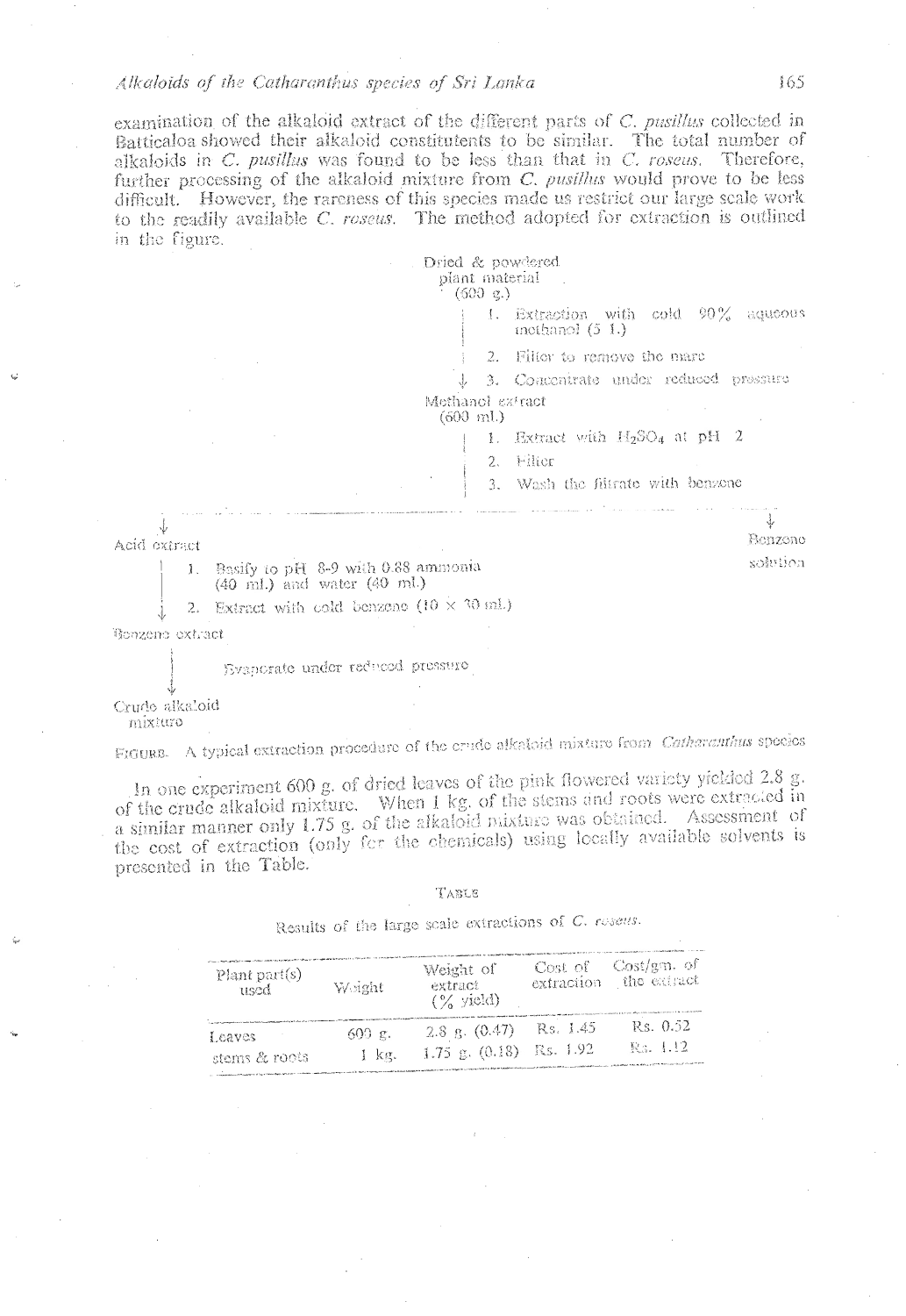#### Alkaloids of the Catharanthus species of Sri Lanka

examination of the alkaloid extract of the different parts of C. pusillus collected in Batticaloa showed their alkaloid constitutents to be similar. The total number of alkaloids in C. pusillus was found to be less than that in C. roseus. Therefore, further processing of the alkaloid mixture from C. pusillus would prove to be less difficult. However, the rareness of this species made us restrict our large scale work to the readily available C, roseus. The method adopted for extraction is outlined in the figure.

| Dried & powdered   |  |
|--------------------|--|
| plant material     |  |
| $(500 \text{ g.})$ |  |

Extraction with cold 90% aqueous incitanol  $(5 1.)$ 

2. Filier to remove the marc

3. Concentrate under reduced pressure J Methanol extract

 $(600 \; \text{mL})$ 

1. Extract with  $H_2SO_4$  at pH 2

2. Filtor

3. Wash the filtrate with benzone

↓ Acid extract

> Basify to pH 8-9 with 0.88 ammonia  $\mathbf{I}$ .

(40 mL) and water (40 mL)

2. Extract with cold benzeno (10  $\times$  30 ml)

Bonzene extract

Evaporate under reduced pressure

Crude alkaloid

mixturo

FIGURE. A typical extraction procedure of the crude alkatoid mixture from Catharanthus species

In one experiment 600 g. of dried leaves of the pink flowered variety yielded 2.8 g. of the crude alkaloid mixture. When 1 kg. of the stems and roots were extracted in a similar manner only 1.75 g, of the alkaloid mixture was obtained. Assessment of the cost of extraction (only for the obemicals) using locally available solvents is presented in the Table.

#### TABLE

Results of the large scale extractions of C. resens.

| Plant part(s)<br>used | Weight.             | Weight of<br>extract<br>$(\frac{6}{6}$ yield)                                                                                                                                     | Cost of<br>extraction | -Cost/gm. of<br>the extract |
|-----------------------|---------------------|-----------------------------------------------------------------------------------------------------------------------------------------------------------------------------------|-----------------------|-----------------------------|
| I caves               | $600 \, \text{g}$ . | 2.8 g. $(0.47)$                                                                                                                                                                   | Rs. 1.45              | Rs. 0.52                    |
| stems & roots         | 1 kg.               | $1.75$ g. $(0.18)$<br>the communities have been processed as the property manufacturers and particles are such a light gap with their independent was accepted in the first and a | Rs. 1.92              | R.a. 1.12                   |

165

Benzone

solvtion